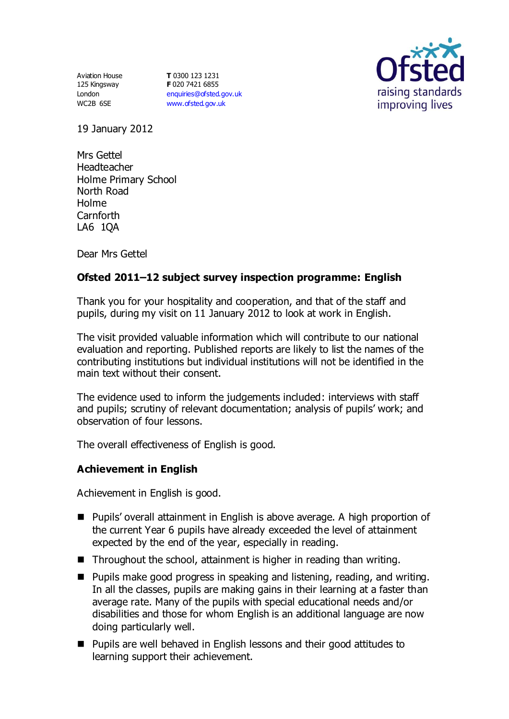Aviation House 125 Kingsway London WC2B 6SE

**T** 0300 123 1231 **F** 020 7421 6855 [enquiries@ofsted.gov.uk](mailto:enquiries@ofsted.gov.uk) [www.ofsted.gov.uk](http://www.ofsted.gov.uk/)



19 January 2012

Mrs Gettel Headteacher Holme Primary School North Road Holme Carnforth LA6 1QA

Dear Mrs Gettel

# **Ofsted 2011–12 subject survey inspection programme: English**

Thank you for your hospitality and cooperation, and that of the staff and pupils, during my visit on 11 January 2012 to look at work in English.

The visit provided valuable information which will contribute to our national evaluation and reporting. Published reports are likely to list the names of the contributing institutions but individual institutions will not be identified in the main text without their consent.

The evidence used to inform the judgements included: interviews with staff and pupils; scrutiny of relevant documentation; analysis of pupils' work; and observation of four lessons.

The overall effectiveness of English is good.

#### **Achievement in English**

Achievement in English is good.

- Pupils' overall attainment in English is above average. A high proportion of the current Year 6 pupils have already exceeded the level of attainment expected by the end of the year, especially in reading.
- $\blacksquare$  Throughout the school, attainment is higher in reading than writing.
- **Pupils make good progress in speaking and listening, reading, and writing.** In all the classes, pupils are making gains in their learning at a faster than average rate. Many of the pupils with special educational needs and/or disabilities and those for whom English is an additional language are now doing particularly well.
- Pupils are well behaved in English lessons and their good attitudes to learning support their achievement.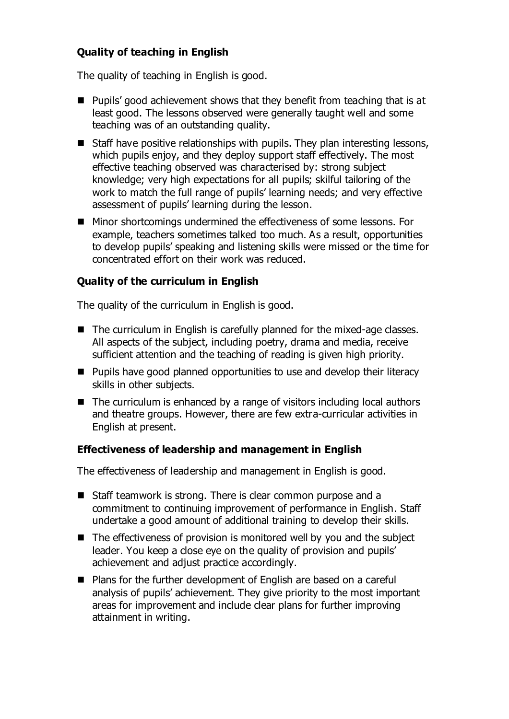# **Quality of teaching in English**

The quality of teaching in English is good.

- **Pupils'** good achievement shows that they benefit from teaching that is at least good. The lessons observed were generally taught well and some teaching was of an outstanding quality.
- Staff have positive relationships with pupils. They plan interesting lessons, which pupils enjoy, and they deploy support staff effectively. The most effective teaching observed was characterised by: strong subject knowledge; very high expectations for all pupils; skilful tailoring of the work to match the full range of pupils' learning needs; and very effective assessment of pupils' learning during the lesson.
- Minor shortcomings undermined the effectiveness of some lessons. For example, teachers sometimes talked too much. As a result, opportunities to develop pupils' speaking and listening skills were missed or the time for concentrated effort on their work was reduced.

#### **Quality of the curriculum in English**

The quality of the curriculum in English is good.

- The curriculum in English is carefully planned for the mixed-age classes. All aspects of the subject, including poetry, drama and media, receive sufficient attention and the teaching of reading is given high priority.
- Pupils have good planned opportunities to use and develop their literacy skills in other subjects.
- $\blacksquare$  The curriculum is enhanced by a range of visitors including local authors and theatre groups. However, there are few extra-curricular activities in English at present.

#### **Effectiveness of leadership and management in English**

The effectiveness of leadership and management in English is good.

- Staff teamwork is strong. There is clear common purpose and a commitment to continuing improvement of performance in English. Staff undertake a good amount of additional training to develop their skills.
- The effectiveness of provision is monitored well by you and the subject leader. You keep a close eye on the quality of provision and pupils' achievement and adjust practice accordingly.
- Plans for the further development of English are based on a careful analysis of pupils' achievement. They give priority to the most important areas for improvement and include clear plans for further improving attainment in writing.